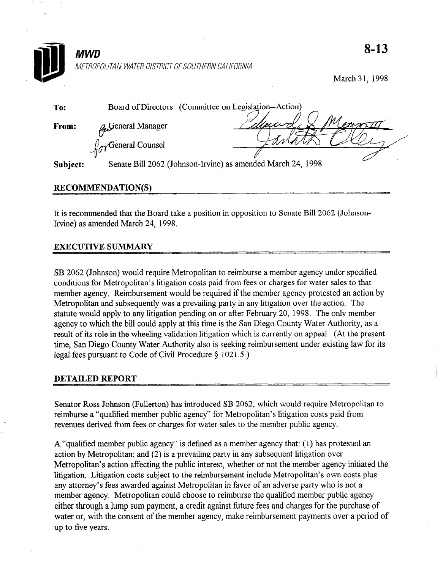

March 31, 1998

| To:          |                                 | Board of Directors (Committee on Legislation--Action)       |
|--------------|---------------------------------|-------------------------------------------------------------|
| <b>From:</b> | <b>L</b> General Manager        | $M_{\alpha\beta}$<br>deux d                                 |
|              | $\int_{\gamma}$ General Counsel |                                                             |
| Subject:     |                                 | Senate Bill 2062 (Johnson-Irvine) as amended March 24, 1998 |

# RECOMMENDATION(S)

It is recommended that the Board take a position in opposition to Senate Bill 2062 (Johnson-Irvine) as amended March 24, 1998.

# EXECUTIVE SUMMARY

SB 2062 (Johnson) would require Metropolitan to reimburse a member agency under specified conditions for Metropolitan's litigation costs paid from fees or charges for water sales to that member agency. Reimbursement would be required if the member agency protested an action by metrioer agency. Remoursement would be required if the member agency processed an action.  $\mathbf{w}$  is the point and subsequently was a prevailing party in any ingation over the action. The  $\mathbf{w}$ statute would apply to any litigation pending on or after February 20, 1998. The only member agency to which the bill could apply at this time is the San Diego County Water Authority, as a result of its role in the wheeling validation litigation which is currently on appeal. (At the present time, San Diego County Water Authority also is seeking reimbursement under existing law for its legal fees pursuant to Code of Civil Procedure  $\S$  1021.5.)

Senator Ross Johnson (Fullerton) has introduced SB 2062, which would require Metropolitan to reimburse a "qualified member public agency" for Metropolitan's litigation costs paid from revenues derived from fees or charges for water sales to the member public agency.

A "qualified member public agency" is defined as a member agency that:  $(1)$  has protested an action by Metropolitan; and  $(2)$  is a prevailing party in any subsequent litigation over Metropolitan's action affecting the public interest, whether or not the member agency initiated the litigation. Litigation costs subject to the reimbursement include Metropolitan's own costs plus any attorney's fees awarded against Metropolitan in favor of an adverse party who is not a member agency. Metropolitan could choose to reimburse the qualified member public agency either through a lump sum payment, a credit against future fees and charges for the purchase of water or, with the consent of the member agency, make reimbursement payments over a period of up to five years.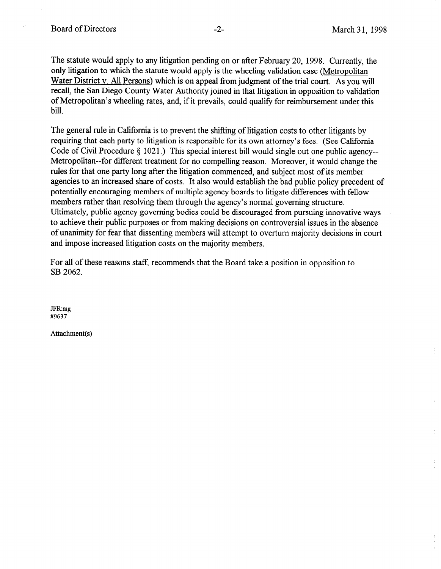The statute would apply to any litigation pending on or after February 20, 1998. Currently, the only litigation to which the statute would apply is the wheeling validation case (Metropolitan Water District v. All Persons) which is on appeal from judgment of the trial court. As you will recall, the San Diego County Water Authority joined in that litigation in opposition to validation of Metropolitan's wheeling rates, and, if it prevails, could qualify for reimbursement under this bill.

The general rule in California is to prevent the shifting of litigation costs to other litigants by requiring that each party to litigation is responsible for its own attorney's fees. (See California Code of Civil Procedure  $\S$  1021.) This special interest bill would single out one public agency--Metropolitan--for different treatment for no compelling reason. Moreover, it would change the rules for that one party long after the litigation commenced, and subject most of its member agencies to an increased share of costs. It also would establish the bad public policy precedent of potentially encouraging members of multiple agency boards to litigate differences with fellow members rather than resolving them through the agency's normal governing structure. Ultimately, public agency governing bodies could be discouraged from pursuing innovative ways to achieve their public purposes or from making decisions on controversial issues in the absence of unanimity for fear that dissenting members will attempt to overturn majority decisions in court and impose increased litigation costs on the majority members.

For all of these reasons staff, recommends that the Board take a position in opposition to SB 2062.

JFR:mg #9637

Attachment(s)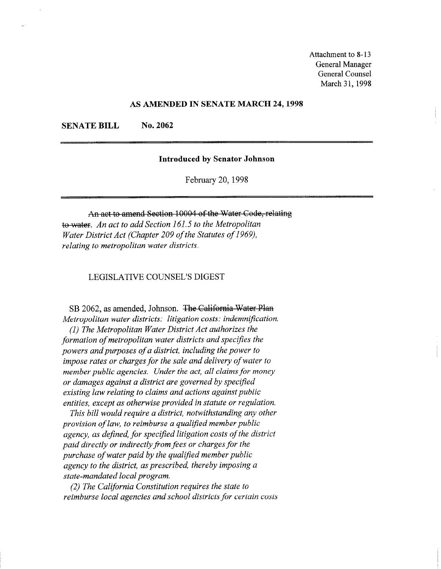Attachment to 8-13 General Manager General Counsel March 31, 1998

## AS AMENDED IN SENATE MARCH 24,1998

SENATE BILL No. 2062

## Introduced by Senator Johnson

February 20,199s

An act to amend Section 10004 of the Water Code, relating to water. An act to add Section 161.5 to the Metropolitan Water District Act (Chapter 209 of the Statutes of 1969), relating to metropolitan water districts.

LEGISLATIVE COUNSEL'S DIGEST

SB 2062, as amended, Johnson. The California Water Plan Metropolitan water districts: litigation costs: indemnification. (I) The Metropolitan Water District Act authorizes the formation of metropolitan water districts and specifies the powers and purposes of a district, including the power to impose rates or charges for the sale and delivery of water to member public agencies. Under the act, all claims for money or damages against a district are governed by specified existing law relating to claims and actions against public entities, except as otherwise provided in statute or regulation.

This bill would require a district, notwithstanding any other provision of law, to reimburse a qualified member public agency, as defined, for specified litigation costs of the district paid directly or indirectly from fees or charges for the purchase of water paid by the qualified member public agency to the district, as prescribed, thereby imposing a state-mandated local program.

(2) The California Constitution requires the state to reimburse local agencies and school districts for certain costs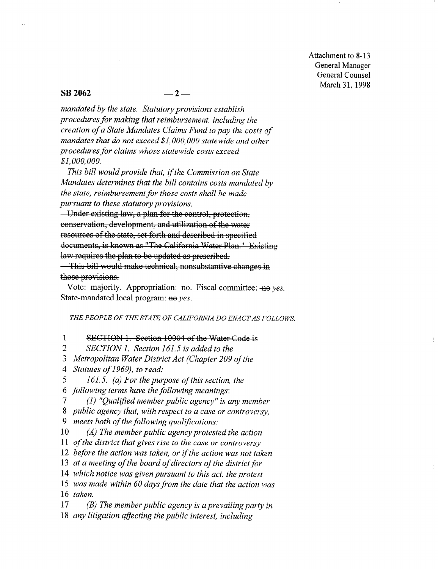Attachment to 8-13 General Manager General Counsel March 31, 1998

## $\text{SB } 2062$   $-2$   $-$

mandated by the state. Statutory provisions establish procedures for making that reimbursement, including the creation of a State Mandates Claims Fund to pay the costs of mandates that do not exceed \$1, 000, 000 statewide and other procedures for claims whose statewide costs exceed \$I, 000,000.

This bill would provide that, if the Commission on State Mandates determines that the bill contains costs mandated by the state, reimbursement for those costs shall be made pursuant to these statutory provisions.

- Under existing law, a plan for the control, protection, conservation, development, and utilization of the water resources of the state, set forth and described in specified documents, is known as "The California Water Plan." Existing law requires the plan to be updated as prescribed.

-This bill would make technical, nonsubstantive changes in those provisions.

Vote: majority. Appropriation: no. Fiscal committee:  $\overline{H}$  yes. State-mandated local program: no yes.

THE PEOPLE OF THE STATE OF CALIFORNIA DO ENACT AS FOLLOWS:

1 SECTION 1. Section 10004 of the Water Code is

2 SECTION 1. Section 161.5 is added to the

3 Metropolitan Water District Act (Chapter 209 of the

4 Statutes of 1969), to read.

5 161.5. (a) For the purpose of this section, the

6 following terms have the following meanings:

7 (1) "Qualtjied member public agency" is any member

8 public agency that, with respect to a case or controversy,

9 meets both of the following qualifications.

10 (A) The member public agency protested the action

11 of the district that gives rise to the case or controversy

12 before the action was taken, or if the action was not taken

13 at a meeting of the board of directors of the district for

14 which notice was given pursuant to this act, the protest

15 was made within 60 days from the date that the action was 16 taken.

 $17$  (B) The member public agency is a prevailing party in

18 any litigation affecting the public interest, including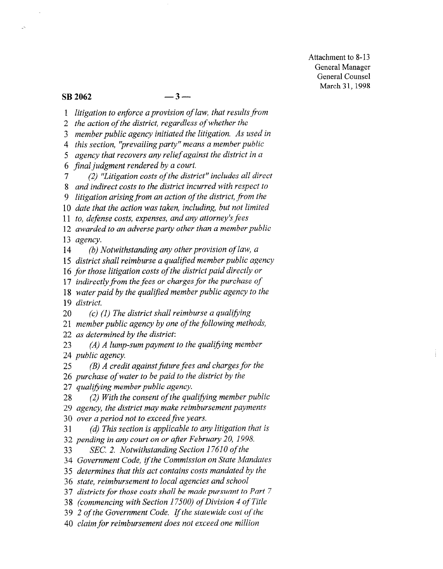Attachment to 8-13 General Manager General Counsel March 31, 1998

# $\text{SB } 2062$   $-3$   $-$

1 litigation to enforce a provision of law, that results from

2 the action of the district, regardless of whether the

3 member public agency initiated the litigation, As used in

4 this section, 'prevailing party" means a member public

5 agency that recovers any relief against the district in a

6 final judgment rendered by a court.

7 (2) "'Litigation costs of the district" includes all direct

8 and indirect costs to the district incurred with respect to

9 litigation arising from an action of the district, from the

10 date that the action was taken, including, but not limited

11 to, defense costs, expenses, and any attorney's fees

12 awarded to an adverse party other than a member public 13 agency.

14 (b) Notwithstanding any other provision of law, a

15 district shall reimburse a qualified member public agency

16 for those litigation costs of the district paid directly or 10 for most might room of me when the pure an every or

If mancing from me fees or enarges for me puremese of

18 water paid by the qualified member public agency to the<br>19 district.  $20$  (c) (1)  $T_1$   $T_2$  and  $T_3$  and  $T_4$  and  $T_5$  is the summation of  $T_5$ .

 $20$  member public agency by one of the following methods of the following methods,  $\frac{1}{2}$  $21$  member public agency by one of the following methods,

22 as determined by the district:<br>23 (A) A lump-sum payment

 $(A)$  A lump-sum payment to the qualifying member 24 *public agency*.<br>25 (*B*) *A credit* 

 $(B)$  A credit against future fees and charges for the 26 purchase of water to be paid to the district by the

27 qualifying member public agency.

 $28$  (2) With the consent of the qualifying member public 29 agency, the district may make reimbursement payments

30 over a period not to exceed five years.<br>31 (d) This section is applicable to an  $(d)$  This section is applicable to any litigation that is 32 pending in any court on or after February 20, 1998.

33 SEC. 2. Notwithstanding Section 17610 of the

34 Government Code, if the Commission on State Mandates

35 determines that this act contains costs mandated by the

36 state, reimbursement to local agencies and school

37 districts for those costs shall be made pursuant to Part 7

38 (commencing with Section 17500) of Division 4 of Title

39  $2$  of the Government Code. If the statewide cost of the

40 claim for reimbursement does not exceed one million